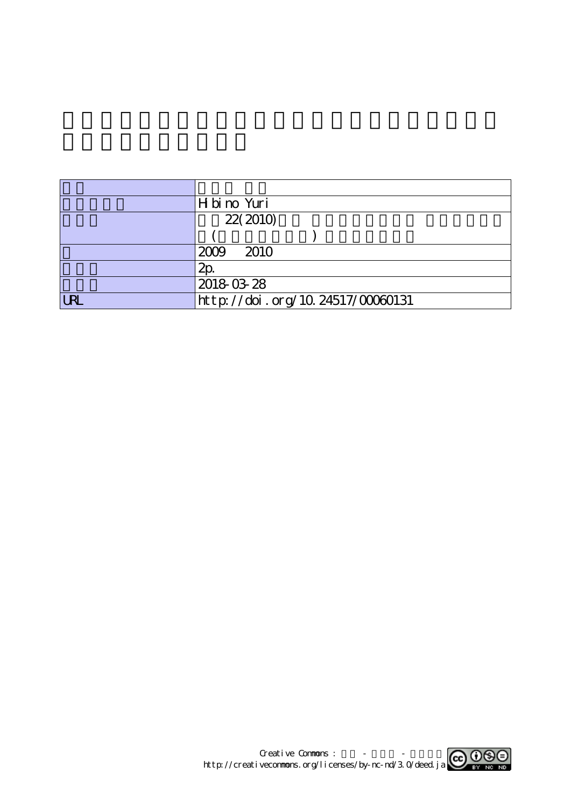|            | H bi no Yuri                     |
|------------|----------------------------------|
|            | 22(2010)                         |
|            |                                  |
|            | 2009<br>2010                     |
|            | $2\mathsf{p}$                    |
|            | 2018-03-28                       |
| <b>URL</b> | http://doi.org/10.24517/00060131 |

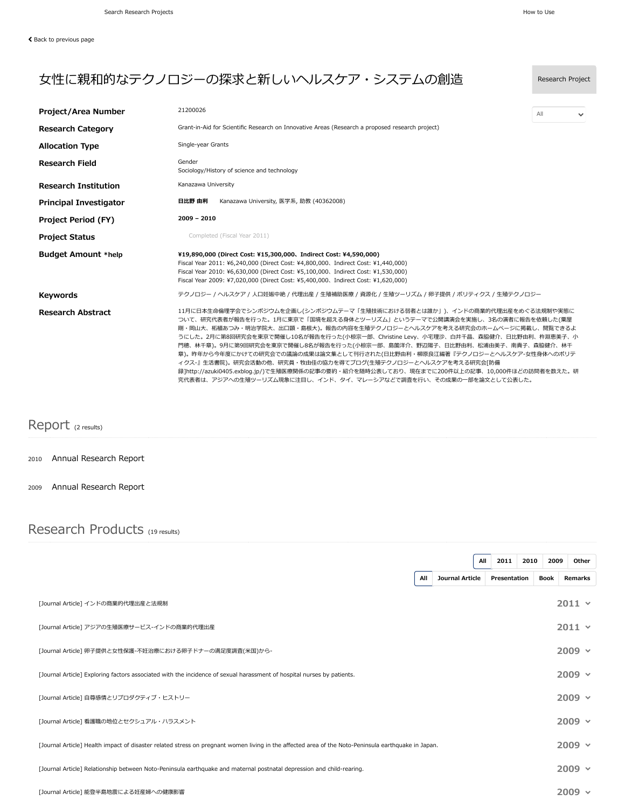$\checkmark$ 

## 女性に親和的なテクノロジーの探求と新しいヘルスケア・システムの創造 Research Project Project/Area Number 21200026 **Research Category** Grant-in-Aid for Scientific Research on Innovative [Areas \(Research](https://kaken.nii.ac.jp/en/search/?qc=Grant-in-Aid%20for%20Scientific%20Research%20on%20Innovative%20Areas%20%28Research%20a%20proposed%20research%20project%29) a proposed research project) All

| <b>Allocation Type</b>        | Single-year Grants                                                                                                                                                                                                                                                                                                                                                                                                                                                                                                                                                                                                                                                                                                 |
|-------------------------------|--------------------------------------------------------------------------------------------------------------------------------------------------------------------------------------------------------------------------------------------------------------------------------------------------------------------------------------------------------------------------------------------------------------------------------------------------------------------------------------------------------------------------------------------------------------------------------------------------------------------------------------------------------------------------------------------------------------------|
| <b>Research Field</b>         | Gender<br>Sociology/History of science and technology                                                                                                                                                                                                                                                                                                                                                                                                                                                                                                                                                                                                                                                              |
| <b>Research Institution</b>   | Kanazawa University                                                                                                                                                                                                                                                                                                                                                                                                                                                                                                                                                                                                                                                                                                |
| <b>Principal Investigator</b> | 日比野 由利<br>Kanazawa University, 医学系, 助教 (40362008)                                                                                                                                                                                                                                                                                                                                                                                                                                                                                                                                                                                                                                                                  |
| <b>Project Period (FY)</b>    | $2009 - 2010$                                                                                                                                                                                                                                                                                                                                                                                                                                                                                                                                                                                                                                                                                                      |
| <b>Project Status</b>         | Completed (Fiscal Year 2011)                                                                                                                                                                                                                                                                                                                                                                                                                                                                                                                                                                                                                                                                                       |
| <b>Budget Amount *help</b>    | ¥19,890,000 (Direct Cost: ¥15,300,000, Indirect Cost: ¥4,590,000)<br>Fiscal Year 2011: ¥6,240,000 (Direct Cost: ¥4,800,000, Indirect Cost: ¥1,440,000)<br>Fiscal Year 2010: ¥6,630,000 (Direct Cost: ¥5,100,000, Indirect Cost: ¥1,530,000)<br>Fiscal Year 2009: ¥7,020,000 (Direct Cost: ¥5,400,000, Indirect Cost: ¥1,620,000)                                                                                                                                                                                                                                                                                                                                                                                   |
| <b>Keywords</b>               | テクノロジー / ヘルスケア / 人口妊娠中絶 / 代理出産 / 生殖補助医療 / 資源化 / 生殖ツーリズム / 卵子提供 / ポリティクス / 生殖テクノロジー                                                                                                                                                                                                                                                                                                                                                                                                                                                                                                                                                                                                                                 |
| <b>Research Abstract</b>      | 11月に日本生命倫理学会でシンポジウムを企画し(シンポジウムテーマ「生殖技術における弱者とは誰か」)、インドの商業的代理出産をめぐる法規制や実態に<br>ついて、研究代表者が報告を行った。1月に東京で「国境を超える身体とツーリズム」というテーマで公開講演会を実施し、3名の演者に報告を依頼した(粟屋<br>剛・岡山大、柘植あつみ・明治学院大、出口顕・島根大)。報告の内容を生殖テクノロジーとヘルスケアを考える研究会のホームページに掲載し、閲覧できるよ<br>うにした。2月に第8回研究会を東京で開催し10名が報告を行った(小椋宗一郎、Christine Levy、小宅理沙、白井千晶、森脇健介、日比野由利、杵淵恵美子、小<br>門穂、林千章)。9月に第9回研究会を東京で開催し8名が報告を行った(小椋宗一郎、島薗洋介、野辺陽子、日比野由利、松浦由美子、南貴子、森脇健介、林千<br>章)。昨年から今年度にかけての研究会での議論の成果は論文集として刊行された(日比野由利・柳原良江編著『テクノロジーとヘルスケア-女性身体へのポリテ<br>ィクス-』生活書院)。研究会活動の他、研究員・牧由佳の協力を得てブログ(生殖テクノロジーとヘルスケアを考える研究会「防備<br>録]http://azuki0405.exblog.jp/)で生殖医療関係の記事の要約・紹介を随時公表しており、現在までに200件以上の記事、10,000件ほどの訪問者を数えた。研<br>究代表者は、アジアへの生殖ツーリズム現象に注目し、インド、タイ、マレーシアなどで調査を行い、その成果の一部を論文として公表した。 |

## Report (2 results)

- 2010 [Annual Research](https://kaken.nii.ac.jp/en/report/KAKENHI-PROJECT-21200026/212000262010jisseki/) Report
- 2009 [Annual Research](https://kaken.nii.ac.jp/en/report/KAKENHI-PROJECT-21200026/212000262009jisseki/) Report

## Research Products (19 results)

|                                                                                                                                                     |     |                 | All | 2011         | 2010 | 2009        | Other         |  |
|-----------------------------------------------------------------------------------------------------------------------------------------------------|-----|-----------------|-----|--------------|------|-------------|---------------|--|
|                                                                                                                                                     | All | Journal Article |     | Presentation |      | <b>Book</b> | Remarks       |  |
| [Journal Article] インドの商業的代理出産と法規制                                                                                                                   |     |                 |     |              |      |             | $2011 -$      |  |
| [Journal Article] アジアの生殖医療サービス-インドの商業的代理出産                                                                                                          |     |                 |     |              |      |             | $2011 -$      |  |
| [Journal Article] 卵子提供と女性保護-不妊治療における卵子ドナーの満足度調査(米国)から-                                                                                              |     |                 |     |              |      |             | $2009$ $\sim$ |  |
| [Journal Article] Exploring factors associated with the incidence of sexual harassment of hospital nurses by patients.                              |     |                 |     |              |      |             | $2009$ $\sim$ |  |
| [Journal Article] 自尊感情とリプロダクティブ・ヒストリー                                                                                                               |     |                 |     |              |      |             | $2009$ $\sim$ |  |
| [Journal Article] 看護職の地位とセクシュアル・ハラスメント                                                                                                              |     |                 |     |              |      |             | $2009$ $\sim$ |  |
| [Journal Article] Health impact of disaster related stress on pregnant women living in the affected area of the Noto-Peninsula earthquake in Japan. |     |                 |     |              |      |             | $2009$ $\sim$ |  |
| [Journal Article] Relationship between Noto-Peninsula earthquake and maternal postnatal depression and child-rearing.                               |     |                 |     |              |      |             | $2009 \times$ |  |
| [Journal Article] 能登半島地震による妊産婦への健康影響                                                                                                                |     |                 |     |              |      |             | $2009$ $\sim$ |  |